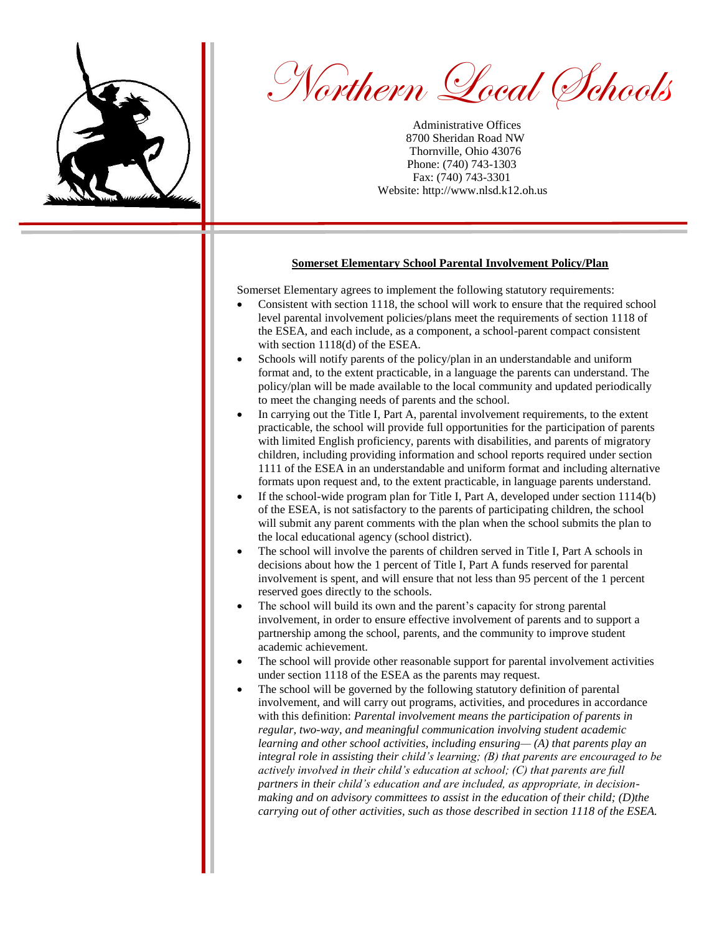

Northern Local Schools

Administrative Offices 8700 Sheridan Road NW Thornville, Ohio 43076 Phone: (740) 743-1303 Fax: (740) 743-3301 Website: http://www.nlsd.k12.oh.us

## **Somerset Elementary School Parental Involvement Policy/Plan**

Somerset Elementary agrees to implement the following statutory requirements:

- Consistent with section 1118, the school will work to ensure that the required school level parental involvement policies/plans meet the requirements of section 1118 of the ESEA, and each include, as a component, a school-parent compact consistent with section 1118(d) of the ESEA.
- Schools will notify parents of the policy/plan in an understandable and uniform format and, to the extent practicable, in a language the parents can understand. The policy/plan will be made available to the local community and updated periodically to meet the changing needs of parents and the school.
- In carrying out the Title I, Part A, parental involvement requirements, to the extent practicable, the school will provide full opportunities for the participation of parents with limited English proficiency, parents with disabilities, and parents of migratory children, including providing information and school reports required under section 1111 of the ESEA in an understandable and uniform format and including alternative formats upon request and, to the extent practicable, in language parents understand.
- If the school-wide program plan for Title I, Part A, developed under section 1114(b) of the ESEA, is not satisfactory to the parents of participating children, the school will submit any parent comments with the plan when the school submits the plan to the local educational agency (school district).
- The school will involve the parents of children served in Title I, Part A schools in decisions about how the 1 percent of Title I, Part A funds reserved for parental involvement is spent, and will ensure that not less than 95 percent of the 1 percent reserved goes directly to the schools.
- The school will build its own and the parent's capacity for strong parental involvement, in order to ensure effective involvement of parents and to support a partnership among the school, parents, and the community to improve student academic achievement.
- The school will provide other reasonable support for parental involvement activities under section 1118 of the ESEA as the parents may request.
- The school will be governed by the following statutory definition of parental involvement, and will carry out programs, activities, and procedures in accordance with this definition: *Parental involvement means the participation of parents in regular, two-way, and meaningful communication involving student academic learning and other school activities, including ensuring— (A) that parents play an integral role in assisting their child's learning; (B) that parents are encouraged to be actively involved in their child's education at school; (C) that parents are full partners in their child's education and are included, as appropriate, in decisionmaking and on advisory committees to assist in the education of their child; (D)the carrying out of other activities, such as those described in section 1118 of the ESEA.*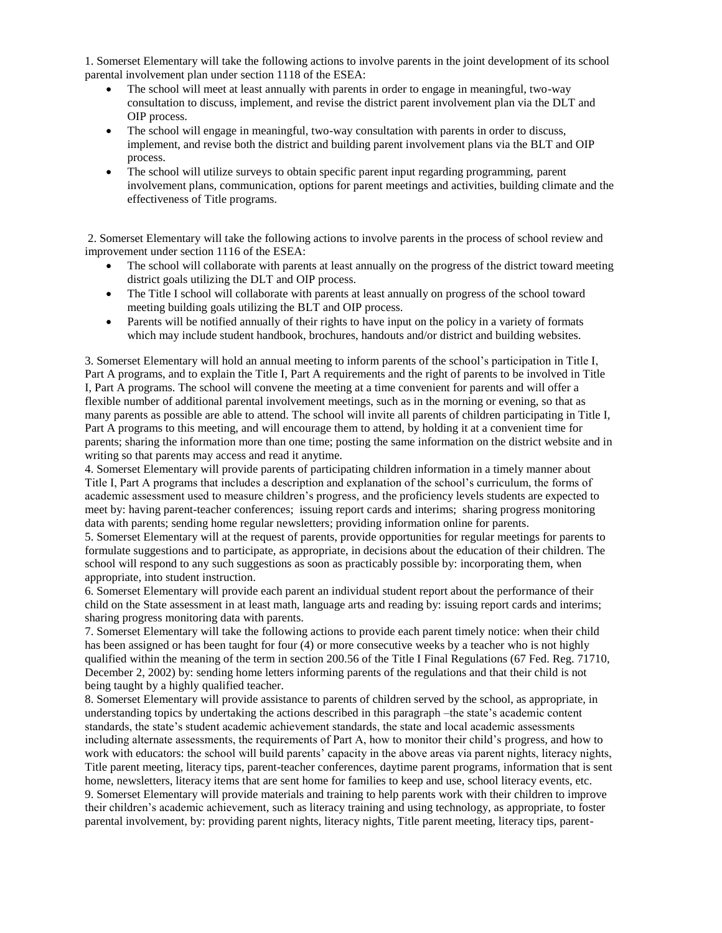1. Somerset Elementary will take the following actions to involve parents in the joint development of its school parental involvement plan under section 1118 of the ESEA:

- The school will meet at least annually with parents in order to engage in meaningful, two-way consultation to discuss, implement, and revise the district parent involvement plan via the DLT and OIP process.
- The school will engage in meaningful, two-way consultation with parents in order to discuss, implement, and revise both the district and building parent involvement plans via the BLT and OIP process.
- The school will utilize surveys to obtain specific parent input regarding programming, parent involvement plans, communication, options for parent meetings and activities, building climate and the effectiveness of Title programs.

2. Somerset Elementary will take the following actions to involve parents in the process of school review and improvement under section 1116 of the ESEA:

- The school will collaborate with parents at least annually on the progress of the district toward meeting district goals utilizing the DLT and OIP process.
- The Title I school will collaborate with parents at least annually on progress of the school toward meeting building goals utilizing the BLT and OIP process.
- Parents will be notified annually of their rights to have input on the policy in a variety of formats which may include student handbook, brochures, handouts and/or district and building websites.

3. Somerset Elementary will hold an annual meeting to inform parents of the school's participation in Title I, Part A programs, and to explain the Title I, Part A requirements and the right of parents to be involved in Title I, Part A programs. The school will convene the meeting at a time convenient for parents and will offer a flexible number of additional parental involvement meetings, such as in the morning or evening, so that as many parents as possible are able to attend. The school will invite all parents of children participating in Title I, Part A programs to this meeting, and will encourage them to attend, by holding it at a convenient time for parents; sharing the information more than one time; posting the same information on the district website and in writing so that parents may access and read it anytime.

4. Somerset Elementary will provide parents of participating children information in a timely manner about Title I, Part A programs that includes a description and explanation of the school's curriculum, the forms of academic assessment used to measure children's progress, and the proficiency levels students are expected to meet by: having parent-teacher conferences; issuing report cards and interims; sharing progress monitoring data with parents; sending home regular newsletters; providing information online for parents.

5. Somerset Elementary will at the request of parents, provide opportunities for regular meetings for parents to formulate suggestions and to participate, as appropriate, in decisions about the education of their children. The school will respond to any such suggestions as soon as practicably possible by: incorporating them, when appropriate, into student instruction.

6. Somerset Elementary will provide each parent an individual student report about the performance of their child on the State assessment in at least math, language arts and reading by: issuing report cards and interims; sharing progress monitoring data with parents.

7. Somerset Elementary will take the following actions to provide each parent timely notice: when their child has been assigned or has been taught for four (4) or more consecutive weeks by a teacher who is not highly qualified within the meaning of the term in section 200.56 of the Title I Final Regulations (67 Fed. Reg. 71710, December 2, 2002) by: sending home letters informing parents of the regulations and that their child is not being taught by a highly qualified teacher.

8. Somerset Elementary will provide assistance to parents of children served by the school, as appropriate, in understanding topics by undertaking the actions described in this paragraph –the state's academic content standards, the state's student academic achievement standards, the state and local academic assessments including alternate assessments, the requirements of Part A, how to monitor their child's progress, and how to work with educators: the school will build parents' capacity in the above areas via parent nights, literacy nights, Title parent meeting, literacy tips, parent-teacher conferences, daytime parent programs, information that is sent home, newsletters, literacy items that are sent home for families to keep and use, school literacy events, etc. 9. Somerset Elementary will provide materials and training to help parents work with their children to improve their children's academic achievement, such as literacy training and using technology, as appropriate, to foster parental involvement, by: providing parent nights, literacy nights, Title parent meeting, literacy tips, parent